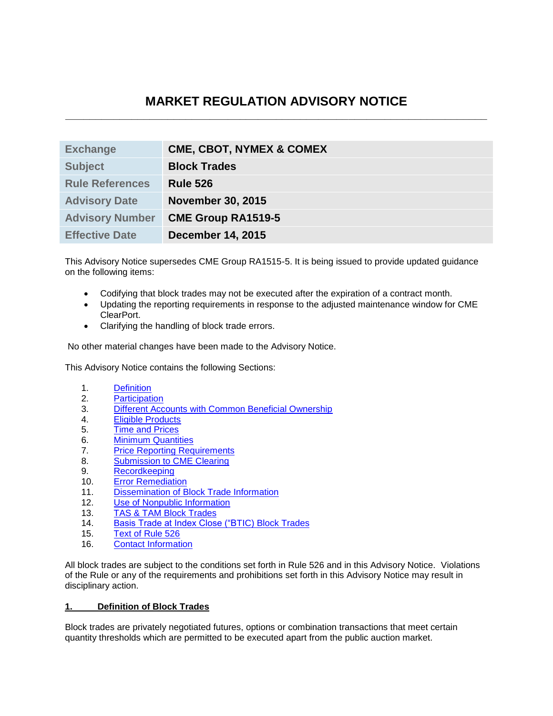# **MARKET REGULATION ADVISORY NOTICE \_\_\_\_\_\_\_\_\_\_\_\_\_\_\_\_\_\_\_\_\_\_\_\_\_\_\_\_\_\_\_\_\_\_\_\_\_\_\_\_\_\_\_\_\_\_\_\_\_\_\_\_\_\_\_\_\_\_\_\_\_\_\_\_\_\_\_\_\_\_**

| <b>Exchange</b>        | <b>CME, CBOT, NYMEX &amp; COMEX</b> |
|------------------------|-------------------------------------|
| <b>Subject</b>         | <b>Block Trades</b>                 |
| <b>Rule References</b> | <b>Rule 526</b>                     |
| <b>Advisory Date</b>   | <b>November 30, 2015</b>            |
| <b>Advisory Number</b> | <b>CME Group RA1519-5</b>           |
| <b>Effective Date</b>  | <b>December 14, 2015</b>            |

This Advisory Notice supersedes CME Group RA1515-5. It is being issued to provide updated guidance on the following items:

- Codifying that block trades may not be executed after the expiration of a contract month.
- Updating the reporting requirements in response to the adjusted maintenance window for CME ClearPort.
- Clarifying the handling of block trade errors.

No other material changes have been made to the Advisory Notice.

This Advisory Notice contains the following Sections:

- 1. [Definition](#page-0-0)
- 2. [Participation](#page-1-0)
- 3. [Different Accounts with Common Beneficial Ownership](#page-1-1)
- 4. [Eligible Products](#page-1-2)
- 5. [Time and Prices](#page-1-3)
- 6. [Minimum Quantities](#page-2-0)
- 7. [Price Reporting Requirements](#page-4-0)
- 8. [Submission to CME Clearing](#page-8-0)
- 9. [Recordkeeping](#page-8-1)
- 10. Error Remediation
- 11. [Dissemination of Block Trade Information](#page-9-0)
- 12. [Use of Nonpublic Information](#page-9-1)
- 13. [TAS & TAM Block Trades](#page-10-0)
- 14. [Basis Trade at Index Close \("BTIC\)](#page-10-1) Block Trades
- 15. [Text of Rule 526](#page-11-0)
- 16. [Contact Information](#page-12-0)

All block trades are subject to the conditions set forth in Rule 526 and in this Advisory Notice. Violations of the Rule or any of the requirements and prohibitions set forth in this Advisory Notice may result in disciplinary action.

### <span id="page-0-0"></span>**1. Definition of Block Trades**

Block trades are privately negotiated futures, options or combination transactions that meet certain quantity thresholds which are permitted to be executed apart from the public auction market.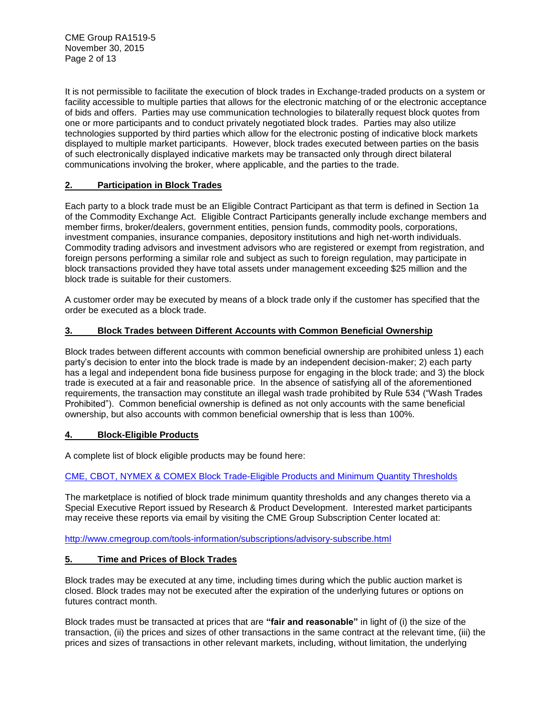CME Group RA1519-5 November 30, 2015 Page 2 of 13

It is not permissible to facilitate the execution of block trades in Exchange-traded products on a system or facility accessible to multiple parties that allows for the electronic matching of or the electronic acceptance of bids and offers. Parties may use communication technologies to bilaterally request block quotes from one or more participants and to conduct privately negotiated block trades. Parties may also utilize technologies supported by third parties which allow for the electronic posting of indicative block markets displayed to multiple market participants. However, block trades executed between parties on the basis of such electronically displayed indicative markets may be transacted only through direct bilateral communications involving the broker, where applicable, and the parties to the trade.

# <span id="page-1-0"></span>**2. Participation in Block Trades**

Each party to a block trade must be an Eligible Contract Participant as that term is defined in Section 1a of the Commodity Exchange Act. Eligible Contract Participants generally include exchange members and member firms, broker/dealers, government entities, pension funds, commodity pools, corporations, investment companies, insurance companies, depository institutions and high net-worth individuals. Commodity trading advisors and investment advisors who are registered or exempt from registration, and foreign persons performing a similar role and subject as such to foreign regulation, may participate in block transactions provided they have total assets under management exceeding \$25 million and the block trade is suitable for their customers.

A customer order may be executed by means of a block trade only if the customer has specified that the order be executed as a block trade.

# <span id="page-1-1"></span>**3. Block Trades between Different Accounts with Common Beneficial Ownership**

Block trades between different accounts with common beneficial ownership are prohibited unless 1) each party's decision to enter into the block trade is made by an independent decision-maker; 2) each party has a legal and independent bona fide business purpose for engaging in the block trade; and 3) the block trade is executed at a fair and reasonable price. In the absence of satisfying all of the aforementioned requirements, the transaction may constitute an illegal wash trade prohibited by Rule 534 ("Wash Trades Prohibited"). Common beneficial ownership is defined as not only accounts with the same beneficial ownership, but also accounts with common beneficial ownership that is less than 100%.

# <span id="page-1-2"></span>**4. Block-Eligible Products**

A complete list of block eligible products may be found here:

# [CME, CBOT, NYMEX & COMEX Block Trade-Eligible Products and Minimum Quantity Thresholds](http://www.cmegroup.com/clearing/trading-practices/block-trades.html#generalInfo)

The marketplace is notified of block trade minimum quantity thresholds and any changes thereto via a Special Executive Report issued by Research & Product Development. Interested market participants may receive these reports via email by visiting the CME Group Subscription Center located at:

<http://www.cmegroup.com/tools-information/subscriptions/advisory-subscribe.html>

# <span id="page-1-3"></span>**5. Time and Prices of Block Trades**

Block trades may be executed at any time, including times during which the public auction market is closed. Block trades may not be executed after the expiration of the underlying futures or options on futures contract month.

Block trades must be transacted at prices that are **"fair and reasonable"** in light of (i) the size of the transaction, (ii) the prices and sizes of other transactions in the same contract at the relevant time, (iii) the prices and sizes of transactions in other relevant markets, including, without limitation, the underlying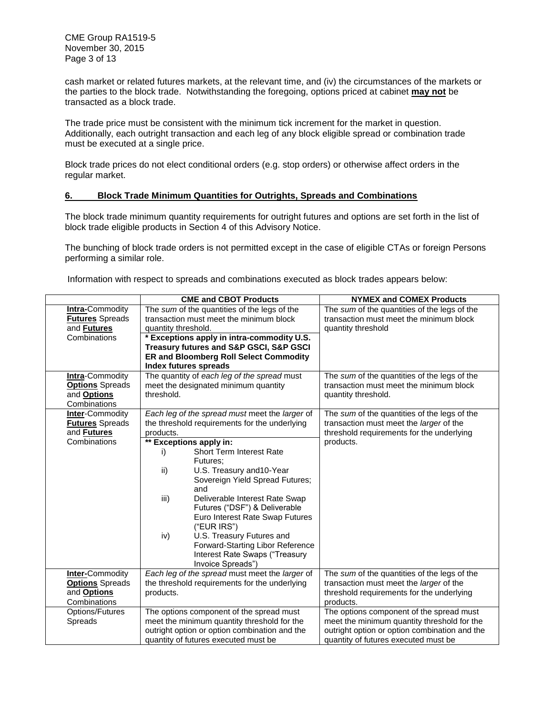CME Group RA1519-5 November 30, 2015 Page 3 of 13

cash market or related futures markets, at the relevant time, and (iv) the circumstances of the markets or the parties to the block trade. Notwithstanding the foregoing, options priced at cabinet **may not** be transacted as a block trade.

The trade price must be consistent with the minimum tick increment for the market in question. Additionally, each outright transaction and each leg of any block eligible spread or combination trade must be executed at a single price.

Block trade prices do not elect conditional orders (e.g. stop orders) or otherwise affect orders in the regular market.

#### <span id="page-2-0"></span>**6. Block Trade Minimum Quantities for Outrights, Spreads and Combinations**

The block trade minimum quantity requirements for outright futures and options are set forth in the list of block trade eligible products in Section 4 of this Advisory Notice.

The bunching of block trade orders is not permitted except in the case of eligible CTAs or foreign Persons performing a similar role.

Information with respect to spreads and combinations executed as block trades appears below:

|                                                                                        | <b>CME and CBOT Products</b>                                                                                                                                                                                                                                                                                                                                                                                                                                                                                                    | <b>NYMEX and COMEX Products</b>                                                                                                                                                  |  |  |
|----------------------------------------------------------------------------------------|---------------------------------------------------------------------------------------------------------------------------------------------------------------------------------------------------------------------------------------------------------------------------------------------------------------------------------------------------------------------------------------------------------------------------------------------------------------------------------------------------------------------------------|----------------------------------------------------------------------------------------------------------------------------------------------------------------------------------|--|--|
| <b>Intra-Commodity</b><br><b>Futures Spreads</b><br>and <b>Futures</b><br>Combinations | The sum of the quantities of the legs of the<br>transaction must meet the minimum block<br>quantity threshold.<br>* Exceptions apply in intra-commodity U.S.<br><b>Treasury futures and S&amp;P GSCI, S&amp;P GSCI</b><br><b>ER and Bloomberg Roll Select Commodity</b><br>Index futures spreads                                                                                                                                                                                                                                | The sum of the quantities of the legs of the<br>transaction must meet the minimum block<br>quantity threshold                                                                    |  |  |
| <b>Intra-Commodity</b><br><b>Options</b> Spreads<br>and <b>Options</b><br>Combinations | The quantity of each leg of the spread must<br>meet the designated minimum quantity<br>threshold.                                                                                                                                                                                                                                                                                                                                                                                                                               | The sum of the quantities of the legs of the<br>transaction must meet the minimum block<br>quantity threshold.                                                                   |  |  |
| <b>Inter-Commodity</b><br><b>Futures Spreads</b><br>and <b>Futures</b><br>Combinations | Each leg of the spread must meet the larger of<br>the threshold requirements for the underlying<br>products.<br>** Exceptions apply in:<br>Short Term Interest Rate<br>i)<br>Futures:<br>U.S. Treasury and 10-Year<br>ii)<br>Sovereign Yield Spread Futures;<br>and<br>Deliverable Interest Rate Swap<br>iii)<br>Futures ("DSF") & Deliverable<br>Euro Interest Rate Swap Futures<br>("EUR IRS")<br>U.S. Treasury Futures and<br>iv)<br>Forward-Starting Libor Reference<br>Interest Rate Swaps ("Treasury<br>Invoice Spreads") | The sum of the quantities of the legs of the<br>transaction must meet the larger of the<br>threshold requirements for the underlying<br>products.                                |  |  |
| <b>Inter-Commodity</b><br><b>Options</b> Spreads<br>and <b>Options</b><br>Combinations | Each leg of the spread must meet the larger of<br>the threshold requirements for the underlying<br>products.                                                                                                                                                                                                                                                                                                                                                                                                                    | The sum of the quantities of the legs of the<br>transaction must meet the <i>larger</i> of the<br>threshold requirements for the underlying<br>products.                         |  |  |
| Options/Futures<br><b>Spreads</b>                                                      | The options component of the spread must<br>meet the minimum quantity threshold for the<br>outright option or option combination and the<br>quantity of futures executed must be                                                                                                                                                                                                                                                                                                                                                | The options component of the spread must<br>meet the minimum quantity threshold for the<br>outright option or option combination and the<br>quantity of futures executed must be |  |  |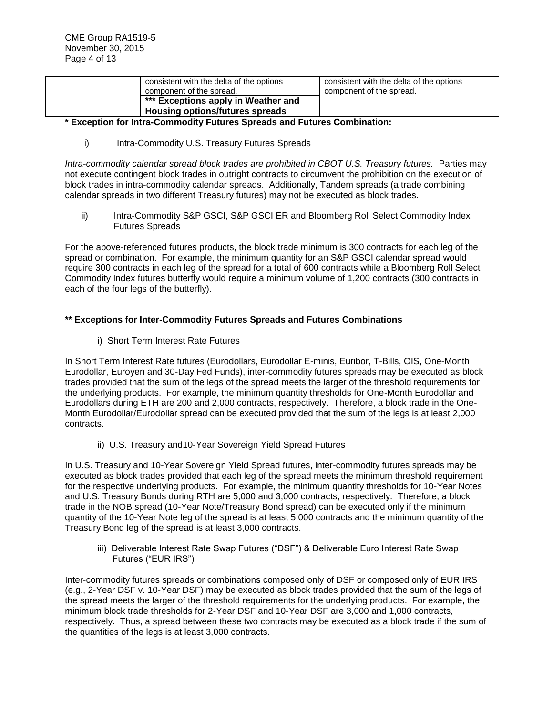| consistent with the delta of the options<br>component of the spread.   | consistent with the delta of the options<br>component of the spread. |
|------------------------------------------------------------------------|----------------------------------------------------------------------|
| *** Exceptions apply in Weather and<br>Housing options/futures spreads |                                                                      |

## **\* Exception for Intra-Commodity Futures Spreads and Futures Combination:**

i) Intra-Commodity U.S. Treasury Futures Spreads

*Intra-commodity calendar spread block trades are prohibited in CBOT U.S. Treasury futures.* Parties may not execute contingent block trades in outright contracts to circumvent the prohibition on the execution of block trades in intra-commodity calendar spreads. Additionally, Tandem spreads (a trade combining calendar spreads in two different Treasury futures) may not be executed as block trades.

ii) Intra-Commodity S&P GSCI, S&P GSCI ER and Bloomberg Roll Select Commodity Index Futures Spreads

For the above-referenced futures products, the block trade minimum is 300 contracts for each leg of the spread or combination. For example, the minimum quantity for an S&P GSCI calendar spread would require 300 contracts in each leg of the spread for a total of 600 contracts while a Bloomberg Roll Select Commodity Index futures butterfly would require a minimum volume of 1,200 contracts (300 contracts in each of the four legs of the butterfly).

## **\*\* Exceptions for Inter-Commodity Futures Spreads and Futures Combinations**

i) Short Term Interest Rate Futures

In Short Term Interest Rate futures (Eurodollars, Eurodollar E-minis, Euribor, T-Bills, OIS, One-Month Eurodollar, Euroyen and 30-Day Fed Funds), inter-commodity futures spreads may be executed as block trades provided that the sum of the legs of the spread meets the larger of the threshold requirements for the underlying products. For example, the minimum quantity thresholds for One-Month Eurodollar and Eurodollars during ETH are 200 and 2,000 contracts, respectively. Therefore, a block trade in the One-Month Eurodollar/Eurodollar spread can be executed provided that the sum of the legs is at least 2,000 contracts.

ii) U.S. Treasury and10-Year Sovereign Yield Spread Futures

In U.S. Treasury and 10-Year Sovereign Yield Spread futures, inter-commodity futures spreads may be executed as block trades provided that each leg of the spread meets the minimum threshold requirement for the respective underlying products. For example, the minimum quantity thresholds for 10-Year Notes and U.S. Treasury Bonds during RTH are 5,000 and 3,000 contracts, respectively. Therefore, a block trade in the NOB spread (10-Year Note/Treasury Bond spread) can be executed only if the minimum quantity of the 10-Year Note leg of the spread is at least 5,000 contracts and the minimum quantity of the Treasury Bond leg of the spread is at least 3,000 contracts.

iii) Deliverable Interest Rate Swap Futures ("DSF") & Deliverable Euro Interest Rate Swap Futures ("EUR IRS")

Inter-commodity futures spreads or combinations composed only of DSF or composed only of EUR IRS (e.g., 2-Year DSF v. 10-Year DSF) may be executed as block trades provided that the sum of the legs of the spread meets the larger of the threshold requirements for the underlying products. For example, the minimum block trade thresholds for 2-Year DSF and 10-Year DSF are 3,000 and 1,000 contracts, respectively. Thus, a spread between these two contracts may be executed as a block trade if the sum of the quantities of the legs is at least 3,000 contracts.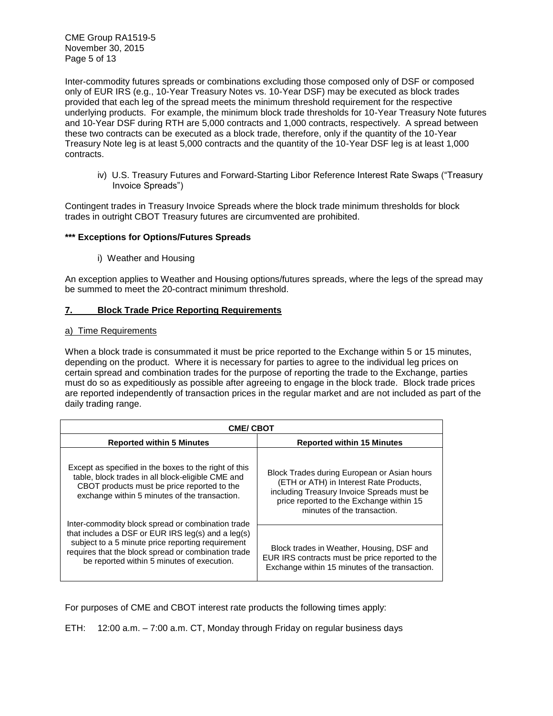CME Group RA1519-5 November 30, 2015 Page 5 of 13

Inter-commodity futures spreads or combinations excluding those composed only of DSF or composed only of EUR IRS (e.g., 10-Year Treasury Notes vs. 10-Year DSF) may be executed as block trades provided that each leg of the spread meets the minimum threshold requirement for the respective underlying products. For example, the minimum block trade thresholds for 10-Year Treasury Note futures and 10-Year DSF during RTH are 5,000 contracts and 1,000 contracts, respectively. A spread between these two contracts can be executed as a block trade, therefore, only if the quantity of the 10-Year Treasury Note leg is at least 5,000 contracts and the quantity of the 10-Year DSF leg is at least 1,000 contracts.

iv) U.S. Treasury Futures and Forward-Starting Libor Reference Interest Rate Swaps ("Treasury Invoice Spreads")

Contingent trades in Treasury Invoice Spreads where the block trade minimum thresholds for block trades in outright CBOT Treasury futures are circumvented are prohibited.

## **\*\*\* Exceptions for Options/Futures Spreads**

i) Weather and Housing

An exception applies to Weather and Housing options/futures spreads, where the legs of the spread may be summed to meet the 20-contract minimum threshold.

## <span id="page-4-0"></span>**7. Block Trade Price Reporting Requirements**

### a) Time Requirements

When a block trade is consummated it must be price reported to the Exchange within 5 or 15 minutes, depending on the product. Where it is necessary for parties to agree to the individual leg prices on certain spread and combination trades for the purpose of reporting the trade to the Exchange, parties must do so as expeditiously as possible after agreeing to engage in the block trade. Block trade prices are reported independently of transaction prices in the regular market and are not included as part of the daily trading range.

| <b>CME/CBOT</b>                                                                                                                                                                                                                                                       |                                                                                                                                                                                                                 |  |  |  |
|-----------------------------------------------------------------------------------------------------------------------------------------------------------------------------------------------------------------------------------------------------------------------|-----------------------------------------------------------------------------------------------------------------------------------------------------------------------------------------------------------------|--|--|--|
| <b>Reported within 5 Minutes</b>                                                                                                                                                                                                                                      | <b>Reported within 15 Minutes</b>                                                                                                                                                                               |  |  |  |
| Except as specified in the boxes to the right of this<br>table, block trades in all block-eligible CME and<br>CBOT products must be price reported to the<br>exchange within 5 minutes of the transaction.                                                            | Block Trades during European or Asian hours<br>(ETH or ATH) in Interest Rate Products,<br>including Treasury Invoice Spreads must be<br>price reported to the Exchange within 15<br>minutes of the transaction. |  |  |  |
| Inter-commodity block spread or combination trade<br>that includes a DSF or EUR IRS $leg(s)$ and a $leg(s)$<br>subject to a 5 minute price reporting requirement<br>requires that the block spread or combination trade<br>be reported within 5 minutes of execution. | Block trades in Weather, Housing, DSF and<br>EUR IRS contracts must be price reported to the<br>Exchange within 15 minutes of the transaction.                                                                  |  |  |  |

For purposes of CME and CBOT interest rate products the following times apply:

ETH: 12:00 a.m. – 7:00 a.m. CT, Monday through Friday on regular business days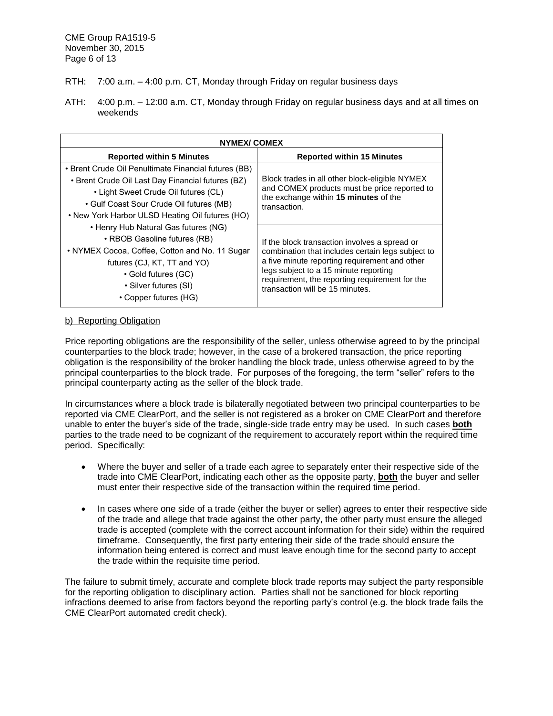CME Group RA1519-5 November 30, 2015 Page 6 of 13

- RTH: 7:00 a.m. 4:00 p.m. CT, Monday through Friday on regular business days
- ATH: 4:00 p.m. 12:00 a.m. CT, Monday through Friday on regular business days and at all times on weekends

| NYMEX/COMEX                                                                                                                                                                                                                                      |                                                                                                                                                                                                                                                                                   |  |  |  |
|--------------------------------------------------------------------------------------------------------------------------------------------------------------------------------------------------------------------------------------------------|-----------------------------------------------------------------------------------------------------------------------------------------------------------------------------------------------------------------------------------------------------------------------------------|--|--|--|
| <b>Reported within 5 Minutes</b>                                                                                                                                                                                                                 | <b>Reported within 15 Minutes</b>                                                                                                                                                                                                                                                 |  |  |  |
| • Brent Crude Oil Penultimate Financial futures (BB)<br>• Brent Crude Oil Last Day Financial futures (BZ)<br>• Light Sweet Crude Oil futures (CL)<br>• Gulf Coast Sour Crude Oil futures (MB)<br>• New York Harbor ULSD Heating Oil futures (HO) | Block trades in all other block-eligible NYMEX<br>and COMEX products must be price reported to<br>the exchange within 15 minutes of the<br>transaction.                                                                                                                           |  |  |  |
| • Henry Hub Natural Gas futures (NG)<br>• RBOB Gasoline futures (RB)<br>• NYMEX Cocoa, Coffee, Cotton and No. 11 Sugar<br>futures (CJ, KT, TT and YO)<br>• Gold futures (GC)<br>• Silver futures (SI)<br>• Copper futures (HG)                   | If the block transaction involves a spread or<br>combination that includes certain legs subject to<br>a five minute reporting requirement and other<br>legs subject to a 15 minute reporting<br>requirement, the reporting requirement for the<br>transaction will be 15 minutes. |  |  |  |

### b) Reporting Obligation

Price reporting obligations are the responsibility of the seller, unless otherwise agreed to by the principal counterparties to the block trade; however, in the case of a brokered transaction, the price reporting obligation is the responsibility of the broker handling the block trade, unless otherwise agreed to by the principal counterparties to the block trade. For purposes of the foregoing, the term "seller" refers to the principal counterparty acting as the seller of the block trade.

In circumstances where a block trade is bilaterally negotiated between two principal counterparties to be reported via CME ClearPort, and the seller is not registered as a broker on CME ClearPort and therefore unable to enter the buyer's side of the trade, single-side trade entry may be used. In such cases **both** parties to the trade need to be cognizant of the requirement to accurately report within the required time period. Specifically:

- Where the buyer and seller of a trade each agree to separately enter their respective side of the trade into CME ClearPort, indicating each other as the opposite party, **both** the buyer and seller must enter their respective side of the transaction within the required time period.
- In cases where one side of a trade (either the buyer or seller) agrees to enter their respective side of the trade and allege that trade against the other party, the other party must ensure the alleged trade is accepted (complete with the correct account information for their side) within the required timeframe. Consequently, the first party entering their side of the trade should ensure the information being entered is correct and must leave enough time for the second party to accept the trade within the requisite time period.

The failure to submit timely, accurate and complete block trade reports may subject the party responsible for the reporting obligation to disciplinary action. Parties shall not be sanctioned for block reporting infractions deemed to arise from factors beyond the reporting party's control (e.g. the block trade fails the CME ClearPort automated credit check).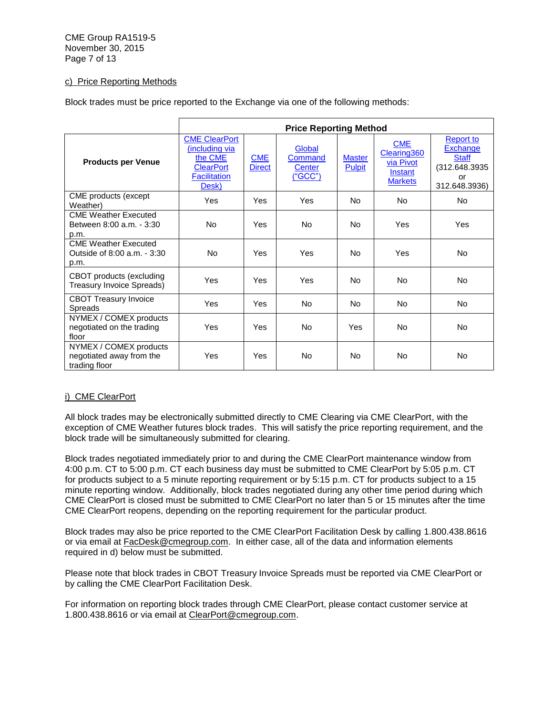CME Group RA1519-5 November 30, 2015 Page 7 of 13

## c) Price Reporting Methods

Block trades must be price reported to the Exchange via one of the following methods:

|                                                                     | <b>Price Reporting Method</b>                                                                         |                             |                                           |                                |                                                                     |                                                                                      |
|---------------------------------------------------------------------|-------------------------------------------------------------------------------------------------------|-----------------------------|-------------------------------------------|--------------------------------|---------------------------------------------------------------------|--------------------------------------------------------------------------------------|
| <b>Products per Venue</b>                                           | <b>CME ClearPort</b><br>(including via<br>the CME<br><b>ClearPort</b><br><b>Facilitation</b><br>Desk) | <b>CME</b><br><b>Direct</b> | Global<br>Command<br>Center<br>$($ "GCC") | <b>Master</b><br><b>Pulpit</b> | <b>CME</b><br>Clearing360<br>via Pivot<br>Instant<br><b>Markets</b> | <b>Report to</b><br>Exchange<br><b>Staff</b><br>(312.648.3935<br>or<br>312.648.3936) |
| CME products (except<br>Weather)                                    | Yes                                                                                                   | Yes                         | Yes                                       | <b>No</b>                      | <b>No</b>                                                           | No.                                                                                  |
| <b>CME Weather Executed</b><br>Between 8:00 a.m. - 3:30<br>p.m.     | No.                                                                                                   | Yes                         | <b>No</b>                                 | No                             | Yes                                                                 | Yes                                                                                  |
| <b>CME Weather Executed</b><br>Outside of 8:00 a.m. - 3:30<br>p.m.  | <b>No</b>                                                                                             | Yes                         | Yes                                       | No                             | Yes                                                                 | <b>No</b>                                                                            |
| CBOT products (excluding<br>Treasury Invoice Spreads)               | Yes                                                                                                   | Yes                         | Yes                                       | No                             | <b>No</b>                                                           | No.                                                                                  |
| <b>CBOT Treasury Invoice</b><br><b>Spreads</b>                      | Yes                                                                                                   | Yes                         | <b>No</b>                                 | <b>No</b>                      | <b>No</b>                                                           | <b>No</b>                                                                            |
| NYMEX / COMEX products<br>negotiated on the trading<br>floor        | Yes                                                                                                   | Yes                         | <b>No</b>                                 | Yes                            | <b>No</b>                                                           | <b>No</b>                                                                            |
| NYMEX / COMEX products<br>negotiated away from the<br>trading floor | Yes                                                                                                   | Yes                         | <b>No</b>                                 | <b>No</b>                      | <b>No</b>                                                           | <b>No</b>                                                                            |

# <span id="page-6-0"></span>i) CME ClearPort

All block trades may be electronically submitted directly to CME Clearing via CME ClearPort, with the exception of CME Weather futures block trades. This will satisfy the price reporting requirement, and the block trade will be simultaneously submitted for clearing.

Block trades negotiated immediately prior to and during the CME ClearPort maintenance window from 4:00 p.m. CT to 5:00 p.m. CT each business day must be submitted to CME ClearPort by 5:05 p.m. CT for products subject to a 5 minute reporting requirement or by 5:15 p.m. CT for products subject to a 15 minute reporting window. Additionally, block trades negotiated during any other time period during which CME ClearPort is closed must be submitted to CME ClearPort no later than 5 or 15 minutes after the time CME ClearPort reopens, depending on the reporting requirement for the particular product.

Block trades may also be price reported to the CME ClearPort Facilitation Desk by calling 1.800.438.8616 or via email at [FacDesk@cmegroup.com.](mailto:FacDesk@cmegroup.com) In either case, all of the data and information elements required in d) below must be submitted.

Please note that block trades in CBOT Treasury Invoice Spreads must be reported via CME ClearPort or by calling the CME ClearPort Facilitation Desk.

<span id="page-6-1"></span>For information on reporting block trades through CME ClearPort, please contact customer service at 1.800.438.8616 or via email at [ClearPort@cmegroup.com.](mailto:ClearPort@cmegroup.com)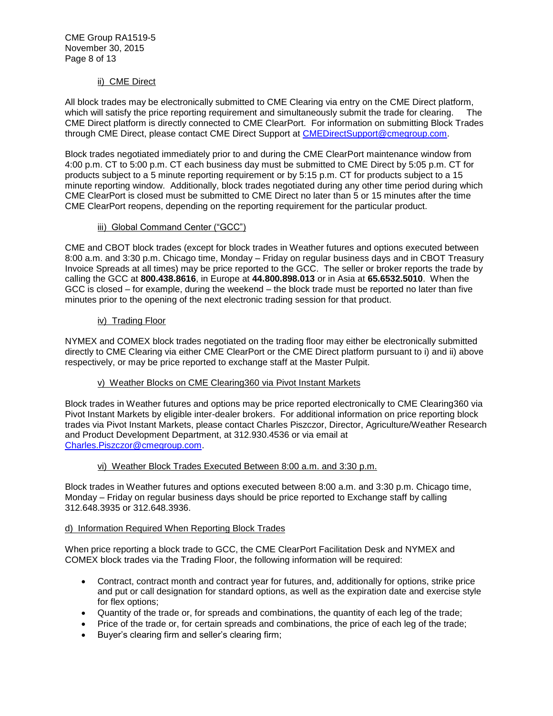# ii) CME Direct

All block trades may be electronically submitted to CME Clearing via entry on the CME Direct platform, which will satisfy the price reporting requirement and simultaneously submit the trade for clearing. The CME Direct platform is directly connected to CME ClearPort. For information on submitting Block Trades through CME Direct, please contact CME Direct Support at [CMEDirectSupport@cmegroup.com.](mailto:CMEDirectSupport@cmegroup.com)

Block trades negotiated immediately prior to and during the CME ClearPort maintenance window from 4:00 p.m. CT to 5:00 p.m. CT each business day must be submitted to CME Direct by 5:05 p.m. CT for products subject to a 5 minute reporting requirement or by 5:15 p.m. CT for products subject to a 15 minute reporting window. Additionally, block trades negotiated during any other time period during which CME ClearPort is closed must be submitted to CME Direct no later than 5 or 15 minutes after the time CME ClearPort reopens, depending on the reporting requirement for the particular product.

## iii) Global Command Center ("GCC")

<span id="page-7-0"></span>CME and CBOT block trades (except for block trades in Weather futures and options executed between 8:00 a.m. and 3:30 p.m. Chicago time, Monday – Friday on regular business days and in CBOT Treasury Invoice Spreads at all times) may be price reported to the GCC. The seller or broker reports the trade by calling the GCC at **800.438.8616**, in Europe at **44.800.898.013** or in Asia at **65.6532.5010**. When the GCC is closed – for example, during the weekend – the block trade must be reported no later than five minutes prior to the opening of the next electronic trading session for that product.

## <span id="page-7-1"></span>iv) Trading Floor

NYMEX and COMEX block trades negotiated on the trading floor may either be electronically submitted directly to CME Clearing via either CME ClearPort or the CME Direct platform pursuant to i) and ii) above respectively, or may be price reported to exchange staff at the Master Pulpit.

# v) Weather Blocks on CME Clearing360 via Pivot Instant Markets

<span id="page-7-2"></span>Block trades in Weather futures and options may be price reported electronically to CME Clearing360 via Pivot Instant Markets by eligible inter-dealer brokers. For additional information on price reporting block trades via Pivot Instant Markets, please contact Charles Piszczor, Director, Agriculture/Weather Research and Product Development Department, at 312.930.4536 or via email at [Charles.Piszczor@cmegroup.com.](mailto:Charles.Piszczor@cmegroup.com)

### vi) Weather Block Trades Executed Between 8:00 a.m. and 3:30 p.m.

<span id="page-7-3"></span>Block trades in Weather futures and options executed between 8:00 a.m. and 3:30 p.m. Chicago time, Monday – Friday on regular business days should be price reported to Exchange staff by calling 312.648.3935 or 312.648.3936.

### d) Information Required When Reporting Block Trades

When price reporting a block trade to GCC, the CME ClearPort Facilitation Desk and NYMEX and COMEX block trades via the Trading Floor, the following information will be required:

- Contract, contract month and contract year for futures, and, additionally for options, strike price and put or call designation for standard options, as well as the expiration date and exercise style for flex options;
- Quantity of the trade or, for spreads and combinations, the quantity of each leg of the trade;
- Price of the trade or, for certain spreads and combinations, the price of each leg of the trade;
- Buyer's clearing firm and seller's clearing firm;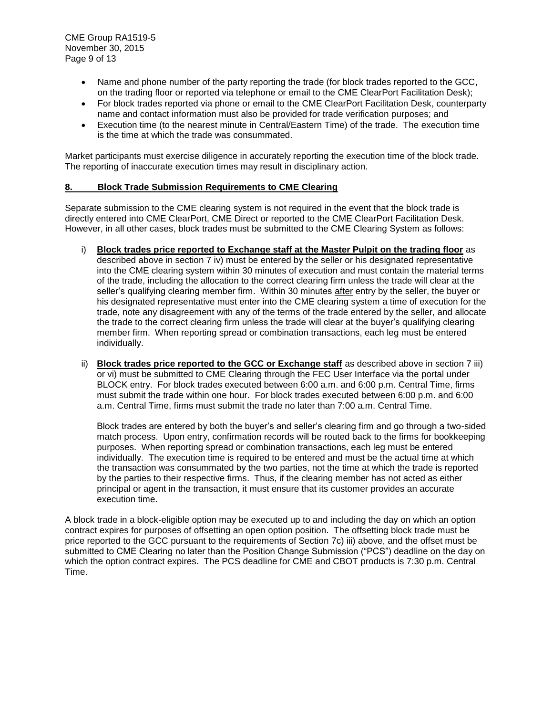- Name and phone number of the party reporting the trade (for block trades reported to the GCC, on the trading floor or reported via telephone or email to the CME ClearPort Facilitation Desk);
- For block trades reported via phone or email to the CME ClearPort Facilitation Desk, counterparty name and contact information must also be provided for trade verification purposes; and
- Execution time (to the nearest minute in Central/Eastern Time) of the trade. The execution time is the time at which the trade was consummated.

Market participants must exercise diligence in accurately reporting the execution time of the block trade. The reporting of inaccurate execution times may result in disciplinary action.

### <span id="page-8-0"></span>**8. Block Trade Submission Requirements to CME Clearing**

Separate submission to the CME clearing system is not required in the event that the block trade is directly entered into CME ClearPort, CME Direct or reported to the CME ClearPort Facilitation Desk. However, in all other cases, block trades must be submitted to the CME Clearing System as follows:

- i) **Block trades price reported to Exchange staff at the Master Pulpit on the trading floor** as described above in section 7 iv) must be entered by the seller or his designated representative into the CME clearing system within 30 minutes of execution and must contain the material terms of the trade, including the allocation to the correct clearing firm unless the trade will clear at the seller's qualifying clearing member firm. Within 30 minutes after entry by the seller, the buyer or his designated representative must enter into the CME clearing system a time of execution for the trade, note any disagreement with any of the terms of the trade entered by the seller, and allocate the trade to the correct clearing firm unless the trade will clear at the buyer's qualifying clearing member firm. When reporting spread or combination transactions, each leg must be entered individually.
- ii) **Block trades price reported to the GCC or Exchange staff** as described above in section 7 iii) or vi) must be submitted to CME Clearing through the FEC User Interface via the portal under BLOCK entry. For block trades executed between 6:00 a.m. and 6:00 p.m. Central Time, firms must submit the trade within one hour. For block trades executed between 6:00 p.m. and 6:00 a.m. Central Time, firms must submit the trade no later than 7:00 a.m. Central Time.

Block trades are entered by both the buyer's and seller's clearing firm and go through a two-sided match process. Upon entry, confirmation records will be routed back to the firms for bookkeeping purposes. When reporting spread or combination transactions, each leg must be entered individually. The execution time is required to be entered and must be the actual time at which the transaction was consummated by the two parties, not the time at which the trade is reported by the parties to their respective firms. Thus, if the clearing member has not acted as either principal or agent in the transaction, it must ensure that its customer provides an accurate execution time.

<span id="page-8-1"></span>A block trade in a block-eligible option may be executed up to and including the day on which an option contract expires for purposes of offsetting an open option position. The offsetting block trade must be price reported to the GCC pursuant to the requirements of Section 7c) iii) above, and the offset must be submitted to CME Clearing no later than the Position Change Submission ("PCS") deadline on the day on which the option contract expires. The PCS deadline for CME and CBOT products is 7:30 p.m. Central Time.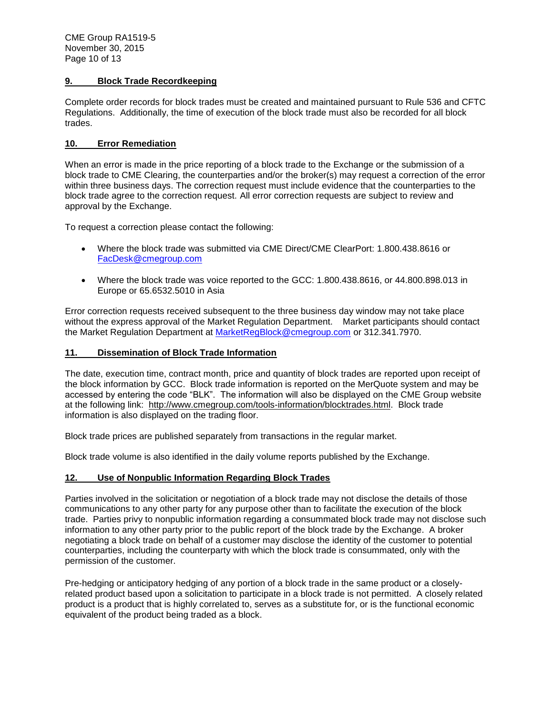## **9. Block Trade Recordkeeping**

Complete order records for block trades must be created and maintained pursuant to Rule 536 and CFTC Regulations. Additionally, the time of execution of the block trade must also be recorded for all block trades.

## <span id="page-9-0"></span>**10. Error Remediation**

When an error is made in the price reporting of a block trade to the Exchange or the submission of a block trade to CME Clearing, the counterparties and/or the broker(s) may request a correction of the error within three business days. The correction request must include evidence that the counterparties to the block trade agree to the correction request. All error correction requests are subject to review and approval by the Exchange.

To request a correction please contact the following:

- Where the block trade was submitted via CME Direct/CME ClearPort: 1.800.438.8616 or [FacDesk@cmegroup.com](mailto:FacDesk@cmegroup.com)
- Where the block trade was voice reported to the GCC: 1.800.438.8616, or 44.800.898.013 in Europe or 65.6532.5010 in Asia

Error correction requests received subsequent to the three business day window may not take place without the express approval of the Market Regulation Department. Market participants should contact the Market Regulation Department at [MarketRegBlock@cmegroup.com](mailto:MarketRegBlock@cmegroup.com) or 312.341.7970.

## **11. Dissemination of Block Trade Information**

The date, execution time, contract month, price and quantity of block trades are reported upon receipt of the block information by GCC. Block trade information is reported on the MerQuote system and may be accessed by entering the code "BLK". The information will also be displayed on the CME Group website at the following link: [http://www.cmegroup.com/tools-information/blocktrades.html.](http://www.cmegroup.com/tools-information/blocktrades.html) Block trade information is also displayed on the trading floor.

Block trade prices are published separately from transactions in the regular market.

Block trade volume is also identified in the daily volume reports published by the Exchange.

# <span id="page-9-1"></span>**12. Use of Nonpublic Information Regarding Block Trades**

Parties involved in the solicitation or negotiation of a block trade may not disclose the details of those communications to any other party for any purpose other than to facilitate the execution of the block trade. Parties privy to nonpublic information regarding a consummated block trade may not disclose such information to any other party prior to the public report of the block trade by the Exchange. A broker negotiating a block trade on behalf of a customer may disclose the identity of the customer to potential counterparties, including the counterparty with which the block trade is consummated, only with the permission of the customer.

Pre-hedging or anticipatory hedging of any portion of a block trade in the same product or a closelyrelated product based upon a solicitation to participate in a block trade is not permitted. A closely related product is a product that is highly correlated to, serves as a substitute for, or is the functional economic equivalent of the product being traded as a block.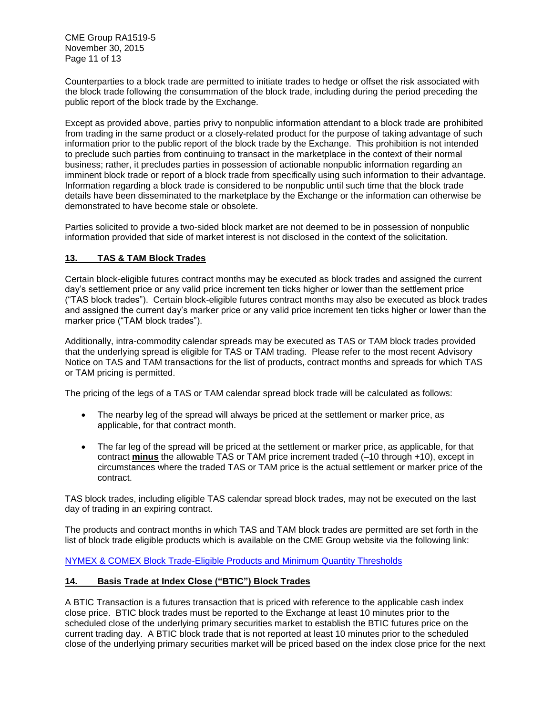CME Group RA1519-5 November 30, 2015 Page 11 of 13

Counterparties to a block trade are permitted to initiate trades to hedge or offset the risk associated with the block trade following the consummation of the block trade, including during the period preceding the public report of the block trade by the Exchange.

Except as provided above, parties privy to nonpublic information attendant to a block trade are prohibited from trading in the same product or a closely-related product for the purpose of taking advantage of such information prior to the public report of the block trade by the Exchange. This prohibition is not intended to preclude such parties from continuing to transact in the marketplace in the context of their normal business; rather, it precludes parties in possession of actionable nonpublic information regarding an imminent block trade or report of a block trade from specifically using such information to their advantage. Information regarding a block trade is considered to be nonpublic until such time that the block trade details have been disseminated to the marketplace by the Exchange or the information can otherwise be demonstrated to have become stale or obsolete.

Parties solicited to provide a two-sided block market are not deemed to be in possession of nonpublic information provided that side of market interest is not disclosed in the context of the solicitation.

# <span id="page-10-0"></span>**13. TAS & TAM Block Trades**

Certain block-eligible futures contract months may be executed as block trades and assigned the current day's settlement price or any valid price increment ten ticks higher or lower than the settlement price ("TAS block trades"). Certain block-eligible futures contract months may also be executed as block trades and assigned the current day's marker price or any valid price increment ten ticks higher or lower than the marker price ("TAM block trades").

Additionally, intra-commodity calendar spreads may be executed as TAS or TAM block trades provided that the underlying spread is eligible for TAS or TAM trading. Please refer to the most recent Advisory Notice on TAS and TAM transactions for the list of products, contract months and spreads for which TAS or TAM pricing is permitted.

The pricing of the legs of a TAS or TAM calendar spread block trade will be calculated as follows:

- The nearby leg of the spread will always be priced at the settlement or marker price, as applicable, for that contract month.
- The far leg of the spread will be priced at the settlement or marker price, as applicable, for that contract **minus** the allowable TAS or TAM price increment traded (–10 through +10), except in circumstances where the traded TAS or TAM price is the actual settlement or marker price of the contract.

TAS block trades, including eligible TAS calendar spread block trades, may not be executed on the last day of trading in an expiring contract.

The products and contract months in which TAS and TAM block trades are permitted are set forth in the list of block trade eligible products which is available on the CME Group website via the following link:

[NYMEX & COMEX Block Trade-Eligible Products and Minimum Quantity Thresholds](http://www.cmegroup.com/clearing/trading-practices/block-trades.html#nymexComexProducts)

## <span id="page-10-1"></span>**14. Basis Trade at Index Close ("BTIC") Block Trades**

A BTIC Transaction is a futures transaction that is priced with reference to the applicable cash index close price. BTIC block trades must be reported to the Exchange at least 10 minutes prior to the scheduled close of the underlying primary securities market to establish the BTIC futures price on the current trading day. A BTIC block trade that is not reported at least 10 minutes prior to the scheduled close of the underlying primary securities market will be priced based on the index close price for the next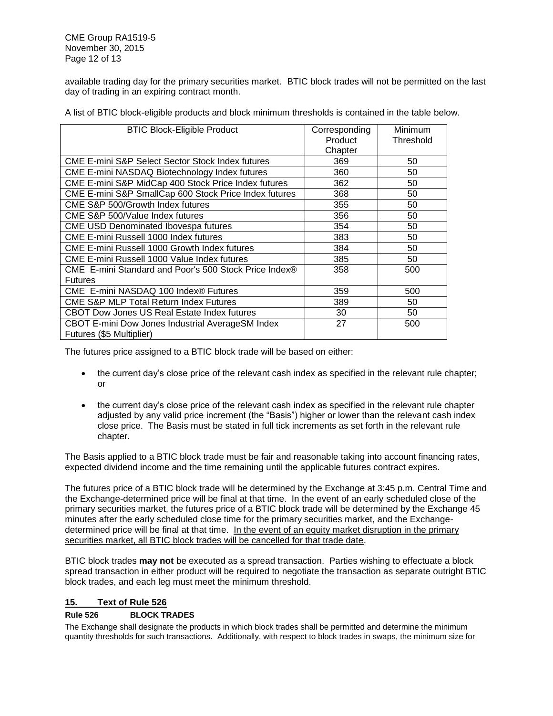available trading day for the primary securities market. BTIC block trades will not be permitted on the last day of trading in an expiring contract month.

A list of BTIC block-eligible products and block minimum thresholds is contained in the table below.

| <b>BTIC Block-Eligible Product</b>                    | Corresponding | Minimum   |
|-------------------------------------------------------|---------------|-----------|
|                                                       | Product       | Threshold |
|                                                       | Chapter       |           |
| CME E-mini S&P Select Sector Stock Index futures      | 369           | 50        |
| CME E-mini NASDAQ Biotechnology Index futures         | 360           | 50        |
| CME E-mini S&P MidCap 400 Stock Price Index futures   | 362           | 50        |
| CME E-mini S&P SmallCap 600 Stock Price Index futures | 368           | 50        |
| CME S&P 500/Growth Index futures                      | 355           | 50        |
| CME S&P 500/Value Index futures                       | 356           | 50        |
| <b>CME USD Denominated Ibovespa futures</b>           | 354           | 50        |
| CME E-mini Russell 1000 Index futures                 | 383           | 50        |
| CME E-mini Russell 1000 Growth Index futures          | 384           | 50        |
| CME E-mini Russell 1000 Value Index futures           | 385           | 50        |
| CME E-mini Standard and Poor's 500 Stock Price Index® | 358           | 500       |
| <b>Futures</b>                                        |               |           |
| CME E-mini NASDAQ 100 Index® Futures                  | 359           | 500       |
| <b>CME S&amp;P MLP Total Return Index Futures</b>     | 389           | 50        |
| <b>CBOT Dow Jones US Real Estate Index futures</b>    | 30            | 50        |
| CBOT E-mini Dow Jones Industrial AverageSM Index      | 27            | 500       |
| Futures (\$5 Multiplier)                              |               |           |

The futures price assigned to a BTIC block trade will be based on either:

- the current day's close price of the relevant cash index as specified in the relevant rule chapter; or
- the current day's close price of the relevant cash index as specified in the relevant rule chapter adjusted by any valid price increment (the "Basis") higher or lower than the relevant cash index close price. The Basis must be stated in full tick increments as set forth in the relevant rule chapter.

The Basis applied to a BTIC block trade must be fair and reasonable taking into account financing rates, expected dividend income and the time remaining until the applicable futures contract expires.

The futures price of a BTIC block trade will be determined by the Exchange at 3:45 p.m. Central Time and the Exchange-determined price will be final at that time. In the event of an early scheduled close of the primary securities market, the futures price of a BTIC block trade will be determined by the Exchange 45 minutes after the early scheduled close time for the primary securities market, and the Exchangedetermined price will be final at that time. In the event of an equity market disruption in the primary securities market, all BTIC block trades will be cancelled for that trade date.

BTIC block trades **may not** be executed as a spread transaction. Parties wishing to effectuate a block spread transaction in either product will be required to negotiate the transaction as separate outright BTIC block trades, and each leg must meet the minimum threshold.

## <span id="page-11-0"></span>**15. Text of Rule 526**

### **Rule 526 BLOCK TRADES**

The Exchange shall designate the products in which block trades shall be permitted and determine the minimum quantity thresholds for such transactions. Additionally, with respect to block trades in swaps, the minimum size for